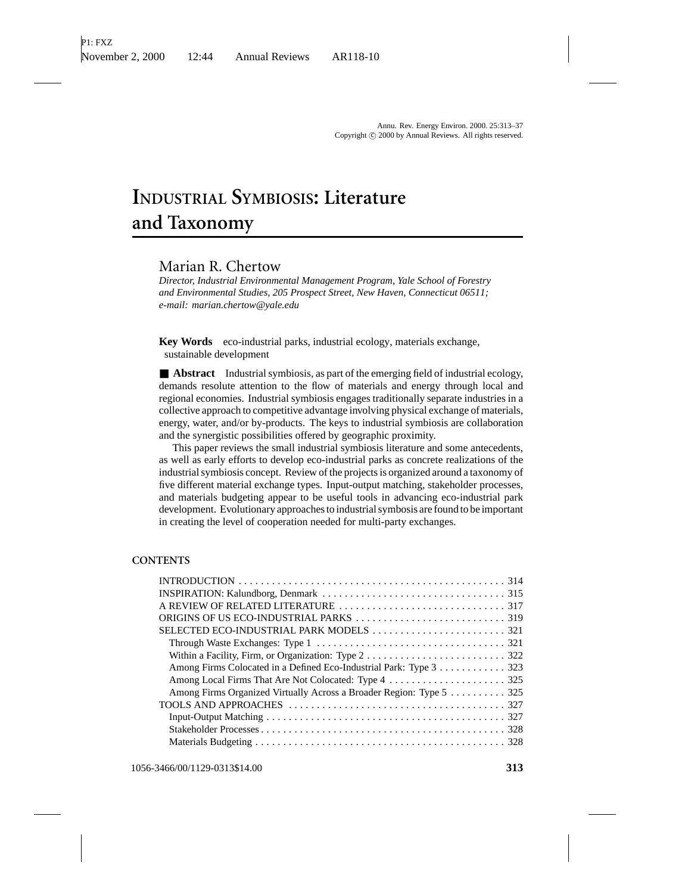# **INDUSTRIAL SYMBIOSIS: Literature and Taxonomy**

# Marian R. Chertow

*Director, Industrial Environmental Management Program, Yale School of Forestry and Environmental Studies, 205 Prospect Street, New Haven, Connecticut 06511; e-mail: marian.chertow@yale.edu*

**Key Words** eco-industrial parks, industrial ecology, materials exchange, sustainable development

■ **Abstract** Industrial symbiosis, as part of the emerging field of industrial ecology, demands resolute attention to the flow of materials and energy through local and regional economies. Industrial symbiosis engages traditionally separate industries in a collective approach to competitive advantage involving physical exchange of materials, energy, water, and/or by-products. The keys to industrial symbiosis are collaboration and the synergistic possibilities offered by geographic proximity.

This paper reviews the small industrial symbiosis literature and some antecedents, as well as early efforts to develop eco-industrial parks as concrete realizations of the industrial symbiosis concept. Review of the projects is organized around a taxonomy of five different material exchange types. Input-output matching, stakeholder processes, and materials budgeting appear to be useful tools in advancing eco-industrial park development. Evolutionary approaches to industrial symbosis are found to be important in creating the level of cooperation needed for multi-party exchanges.

#### **CONTENTS**

| Among Firms Colocated in a Defined Eco-Industrial Park: Type 3 323   |
|----------------------------------------------------------------------|
|                                                                      |
| Among Firms Organized Virtually Across a Broader Region: Type 5  325 |
|                                                                      |
|                                                                      |
|                                                                      |
|                                                                      |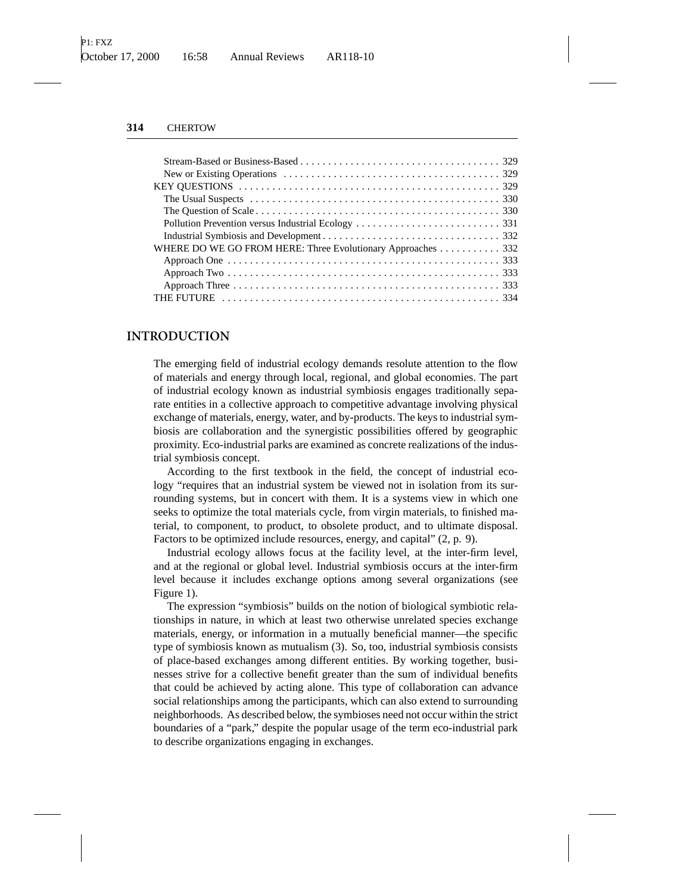| WHERE DO WE GO FROM HERE: Three Evolutionary Approaches  332 |  |  |  |
|--------------------------------------------------------------|--|--|--|
|                                                              |  |  |  |
|                                                              |  |  |  |
|                                                              |  |  |  |
|                                                              |  |  |  |

## **INTRODUCTION**

The emerging field of industrial ecology demands resolute attention to the flow of materials and energy through local, regional, and global economies. The part of industrial ecology known as industrial symbiosis engages traditionally separate entities in a collective approach to competitive advantage involving physical exchange of materials, energy, water, and by-products. The keys to industrial symbiosis are collaboration and the synergistic possibilities offered by geographic proximity. Eco-industrial parks are examined as concrete realizations of the industrial symbiosis concept.

According to the first textbook in the field, the concept of industrial ecology "requires that an industrial system be viewed not in isolation from its surrounding systems, but in concert with them. It is a systems view in which one seeks to optimize the total materials cycle, from virgin materials, to finished material, to component, to product, to obsolete product, and to ultimate disposal. Factors to be optimized include resources, energy, and capital" (2, p. 9).

Industrial ecology allows focus at the facility level, at the inter-firm level, and at the regional or global level. Industrial symbiosis occurs at the inter-firm level because it includes exchange options among several organizations (see Figure 1).

The expression "symbiosis" builds on the notion of biological symbiotic relationships in nature, in which at least two otherwise unrelated species exchange materials, energy, or information in a mutually beneficial manner—the specific type of symbiosis known as mutualism (3). So, too, industrial symbiosis consists of place-based exchanges among different entities. By working together, businesses strive for a collective benefit greater than the sum of individual benefits that could be achieved by acting alone. This type of collaboration can advance social relationships among the participants, which can also extend to surrounding neighborhoods. As described below, the symbioses need not occur within the strict boundaries of a "park," despite the popular usage of the term eco-industrial park to describe organizations engaging in exchanges.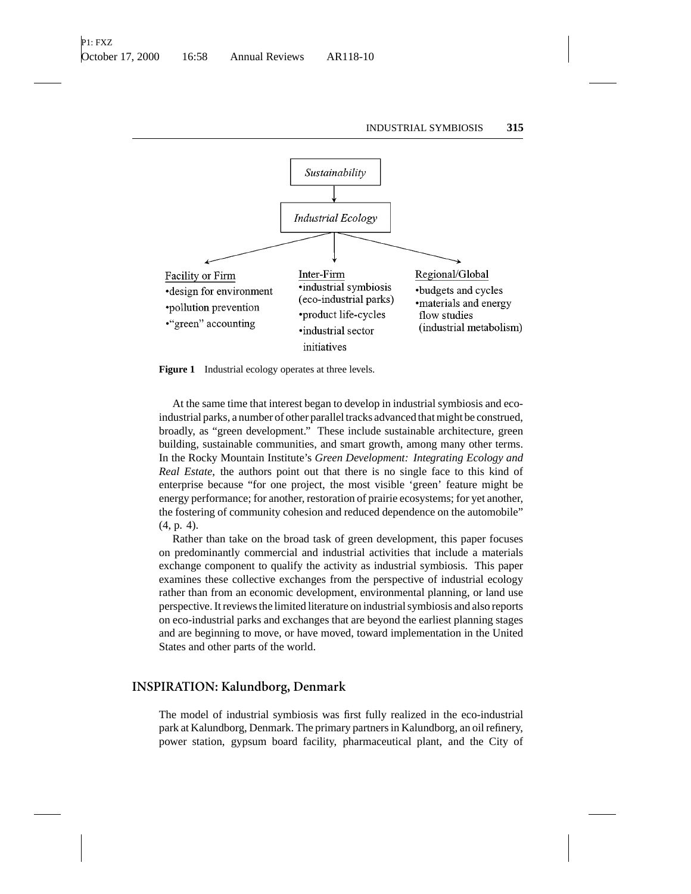

Figure 1 Industrial ecology operates at three levels.

At the same time that interest began to develop in industrial symbiosis and ecoindustrial parks, a number of other parallel tracks advanced that might be construed, broadly, as "green development." These include sustainable architecture, green building, sustainable communities, and smart growth, among many other terms. In the Rocky Mountain Institute's *Green Development: Integrating Ecology and Real Estate*, the authors point out that there is no single face to this kind of enterprise because "for one project, the most visible 'green' feature might be energy performance; for another, restoration of prairie ecosystems; for yet another, the fostering of community cohesion and reduced dependence on the automobile" (4, p. 4).

Rather than take on the broad task of green development, this paper focuses on predominantly commercial and industrial activities that include a materials exchange component to qualify the activity as industrial symbiosis. This paper examines these collective exchanges from the perspective of industrial ecology rather than from an economic development, environmental planning, or land use perspective. It reviews the limited literature on industrial symbiosis and also reports on eco-industrial parks and exchanges that are beyond the earliest planning stages and are beginning to move, or have moved, toward implementation in the United States and other parts of the world.

#### **INSPIRATION: Kalundborg, Denmark**

The model of industrial symbiosis was first fully realized in the eco-industrial park at Kalundborg, Denmark. The primary partners in Kalundborg, an oil refinery, power station, gypsum board facility, pharmaceutical plant, and the City of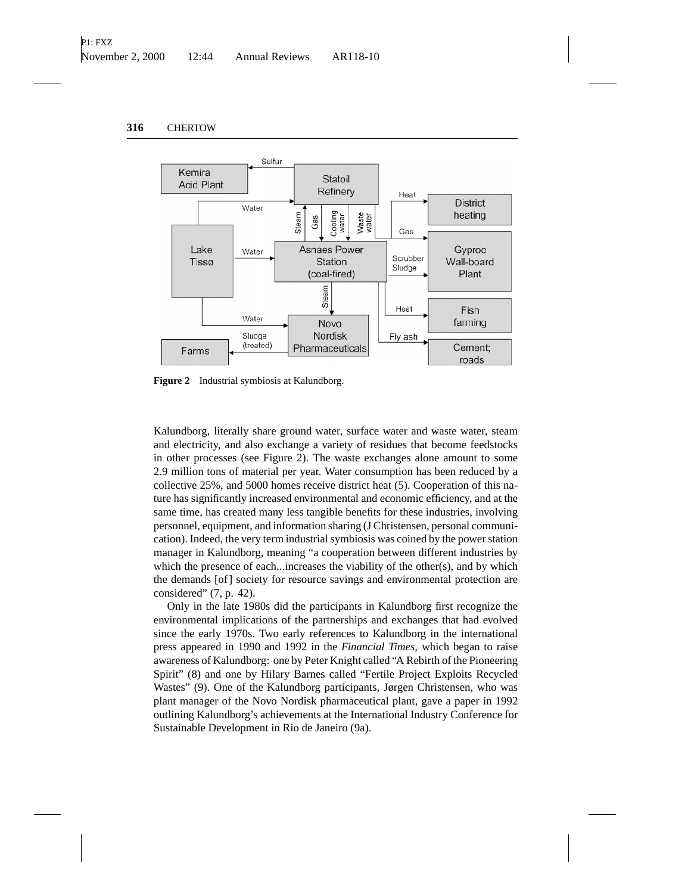

**Figure 2** Industrial symbiosis at Kalundborg.

Kalundborg, literally share ground water, surface water and waste water, steam and electricity, and also exchange a variety of residues that become feedstocks in other processes (see Figure 2). The waste exchanges alone amount to some 2.9 million tons of material per year. Water consumption has been reduced by a collective 25%, and 5000 homes receive district heat (5). Cooperation of this nature has significantly increased environmental and economic efficiency, and at the same time, has created many less tangible benefits for these industries, involving personnel, equipment, and information sharing (J Christensen, personal communication). Indeed, the very term industrial symbiosis was coined by the power station manager in Kalundborg, meaning "a cooperation between different industries by which the presence of each...increases the viability of the other(s), and by which the demands [of] society for resource savings and environmental protection are considered" (7, p. 42).

Only in the late 1980s did the participants in Kalundborg first recognize the environmental implications of the partnerships and exchanges that had evolved since the early 1970s. Two early references to Kalundborg in the international press appeared in 1990 and 1992 in the *Financial Times*, which began to raise awareness of Kalundborg: one by Peter Knight called "A Rebirth of the Pioneering Spirit" (8) and one by Hilary Barnes called "Fertile Project Exploits Recycled Wastes" (9). One of the Kalundborg participants, Jørgen Christensen, who was plant manager of the Novo Nordisk pharmaceutical plant, gave a paper in 1992 outlining Kalundborg's achievements at the International Industry Conference for Sustainable Development in Rio de Janeiro (9a).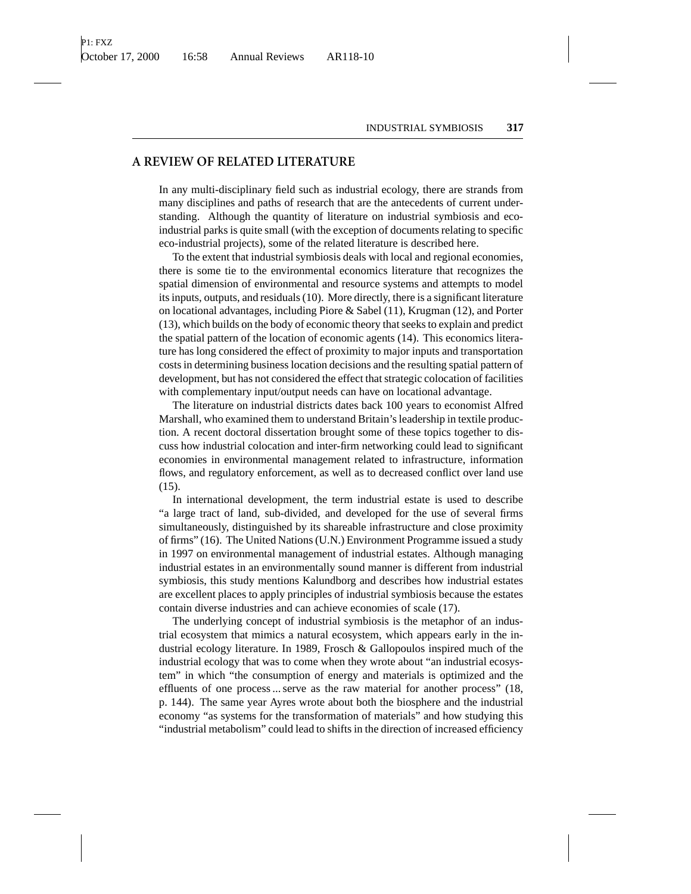## **A REVIEW OF RELATED LITERATURE**

In any multi-disciplinary field such as industrial ecology, there are strands from many disciplines and paths of research that are the antecedents of current understanding. Although the quantity of literature on industrial symbiosis and ecoindustrial parks is quite small (with the exception of documents relating to specific eco-industrial projects), some of the related literature is described here.

To the extent that industrial symbiosis deals with local and regional economies, there is some tie to the environmental economics literature that recognizes the spatial dimension of environmental and resource systems and attempts to model its inputs, outputs, and residuals (10). More directly, there is a significant literature on locational advantages, including Piore & Sabel (11), Krugman (12), and Porter (13), which builds on the body of economic theory that seeks to explain and predict the spatial pattern of the location of economic agents (14). This economics literature has long considered the effect of proximity to major inputs and transportation costs in determining business location decisions and the resulting spatial pattern of development, but has not considered the effect that strategic colocation of facilities with complementary input/output needs can have on locational advantage.

The literature on industrial districts dates back 100 years to economist Alfred Marshall, who examined them to understand Britain's leadership in textile production. A recent doctoral dissertation brought some of these topics together to discuss how industrial colocation and inter-firm networking could lead to significant economies in environmental management related to infrastructure, information flows, and regulatory enforcement, as well as to decreased conflict over land use (15).

In international development, the term industrial estate is used to describe "a large tract of land, sub-divided, and developed for the use of several firms simultaneously, distinguished by its shareable infrastructure and close proximity of firms" (16). The United Nations (U.N.) Environment Programme issued a study in 1997 on environmental management of industrial estates. Although managing industrial estates in an environmentally sound manner is different from industrial symbiosis, this study mentions Kalundborg and describes how industrial estates are excellent places to apply principles of industrial symbiosis because the estates contain diverse industries and can achieve economies of scale (17).

The underlying concept of industrial symbiosis is the metaphor of an industrial ecosystem that mimics a natural ecosystem, which appears early in the industrial ecology literature. In 1989, Frosch & Gallopoulos inspired much of the industrial ecology that was to come when they wrote about "an industrial ecosystem" in which "the consumption of energy and materials is optimized and the effluents of one process ... serve as the raw material for another process" (18, p. 144). The same year Ayres wrote about both the biosphere and the industrial economy "as systems for the transformation of materials" and how studying this "industrial metabolism" could lead to shifts in the direction of increased efficiency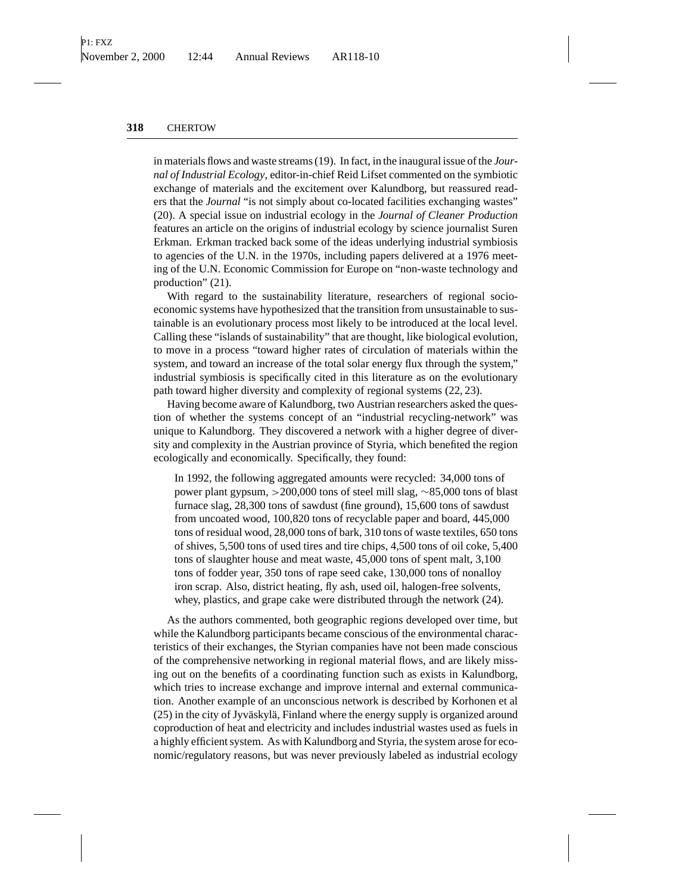in materials flows and waste streams (19). In fact, in the inaugural issue of the *Journal of Industrial Ecology*, editor-in-chief Reid Lifset commented on the symbiotic exchange of materials and the excitement over Kalundborg, but reassured readers that the *Journal* "is not simply about co-located facilities exchanging wastes" (20). A special issue on industrial ecology in the *Journal of Cleaner Production* features an article on the origins of industrial ecology by science journalist Suren Erkman. Erkman tracked back some of the ideas underlying industrial symbiosis to agencies of the U.N. in the 1970s, including papers delivered at a 1976 meeting of the U.N. Economic Commission for Europe on "non-waste technology and production" (21).

With regard to the sustainability literature, researchers of regional socioeconomic systems have hypothesized that the transition from unsustainable to sustainable is an evolutionary process most likely to be introduced at the local level. Calling these "islands of sustainability" that are thought, like biological evolution, to move in a process "toward higher rates of circulation of materials within the system, and toward an increase of the total solar energy flux through the system," industrial symbiosis is specifically cited in this literature as on the evolutionary path toward higher diversity and complexity of regional systems (22, 23).

Having become aware of Kalundborg, two Austrian researchers asked the question of whether the systems concept of an "industrial recycling-network" was unique to Kalundborg. They discovered a network with a higher degree of diversity and complexity in the Austrian province of Styria, which benefited the region ecologically and economically. Specifically, they found:

In 1992, the following aggregated amounts were recycled: 34,000 tons of power plant gypsum, >200,000 tons of steel mill slag, ∼85,000 tons of blast furnace slag, 28,300 tons of sawdust (fine ground), 15,600 tons of sawdust from uncoated wood, 100,820 tons of recyclable paper and board, 445,000 tons of residual wood, 28,000 tons of bark, 310 tons of waste textiles, 650 tons of shives, 5,500 tons of used tires and tire chips, 4,500 tons of oil coke, 5,400 tons of slaughter house and meat waste, 45,000 tons of spent malt, 3,100 tons of fodder year, 350 tons of rape seed cake, 130,000 tons of nonalloy iron scrap. Also, district heating, fly ash, used oil, halogen-free solvents, whey, plastics, and grape cake were distributed through the network (24).

As the authors commented, both geographic regions developed over time, but while the Kalundborg participants became conscious of the environmental characteristics of their exchanges, the Styrian companies have not been made conscious of the comprehensive networking in regional material flows, and are likely missing out on the benefits of a coordinating function such as exists in Kalundborg, which tries to increase exchange and improve internal and external communication. Another example of an unconscious network is described by Korhonen et al  $(25)$  in the city of Jyväskylä, Finland where the energy supply is organized around coproduction of heat and electricity and includes industrial wastes used as fuels in a highly efficient system. As with Kalundborg and Styria, the system arose for economic/regulatory reasons, but was never previously labeled as industrial ecology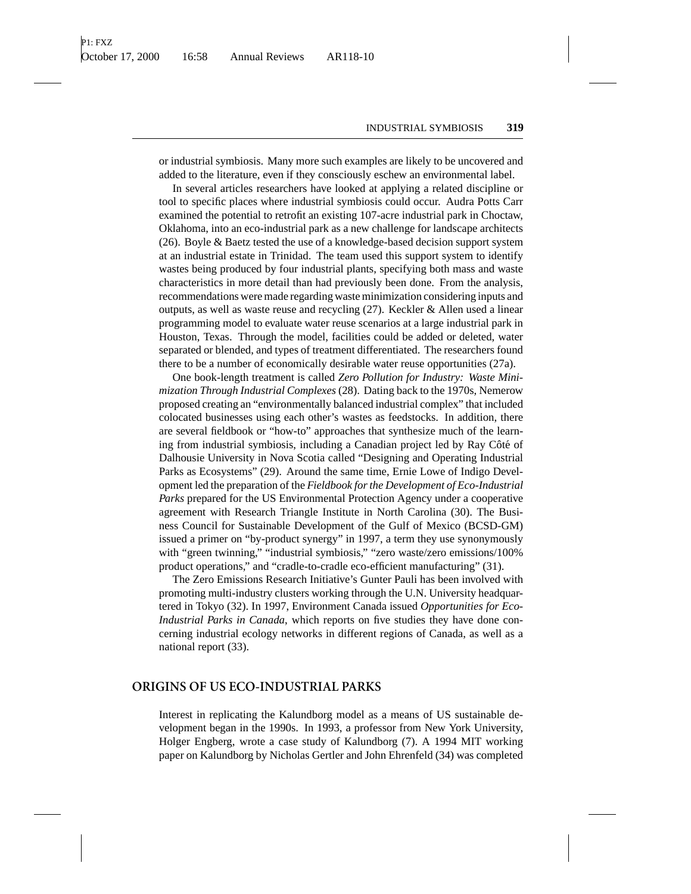or industrial symbiosis. Many more such examples are likely to be uncovered and added to the literature, even if they consciously eschew an environmental label.

In several articles researchers have looked at applying a related discipline or tool to specific places where industrial symbiosis could occur. Audra Potts Carr examined the potential to retrofit an existing 107-acre industrial park in Choctaw, Oklahoma, into an eco-industrial park as a new challenge for landscape architects (26). Boyle & Baetz tested the use of a knowledge-based decision support system at an industrial estate in Trinidad. The team used this support system to identify wastes being produced by four industrial plants, specifying both mass and waste characteristics in more detail than had previously been done. From the analysis, recommendations were made regarding waste minimization considering inputs and outputs, as well as waste reuse and recycling  $(27)$ . Keckler & Allen used a linear programming model to evaluate water reuse scenarios at a large industrial park in Houston, Texas. Through the model, facilities could be added or deleted, water separated or blended, and types of treatment differentiated. The researchers found there to be a number of economically desirable water reuse opportunities (27a).

One book-length treatment is called *Zero Pollution for Industry: Waste Minimization Through Industrial Complexes* (28). Dating back to the 1970s, Nemerow proposed creating an "environmentally balanced industrial complex" that included colocated businesses using each other's wastes as feedstocks. In addition, there are several fieldbook or "how-to" approaches that synthesize much of the learning from industrial symbiosis, including a Canadian project led by Ray Côté of Dalhousie University in Nova Scotia called "Designing and Operating Industrial Parks as Ecosystems" (29). Around the same time, Ernie Lowe of Indigo Development led the preparation of the *Fieldbook for the Development of Eco-Industrial Parks* prepared for the US Environmental Protection Agency under a cooperative agreement with Research Triangle Institute in North Carolina (30). The Business Council for Sustainable Development of the Gulf of Mexico (BCSD-GM) issued a primer on "by-product synergy" in 1997, a term they use synonymously with "green twinning," "industrial symbiosis," "zero waste/zero emissions/100% product operations," and "cradle-to-cradle eco-efficient manufacturing" (31).

The Zero Emissions Research Initiative's Gunter Pauli has been involved with promoting multi-industry clusters working through the U.N. University headquartered in Tokyo (32). In 1997, Environment Canada issued *Opportunities for Eco-Industrial Parks in Canada*, which reports on five studies they have done concerning industrial ecology networks in different regions of Canada, as well as a national report (33).

## **ORIGINS OF US ECO-INDUSTRIAL PARKS**

Interest in replicating the Kalundborg model as a means of US sustainable development began in the 1990s. In 1993, a professor from New York University, Holger Engberg, wrote a case study of Kalundborg (7). A 1994 MIT working paper on Kalundborg by Nicholas Gertler and John Ehrenfeld (34) was completed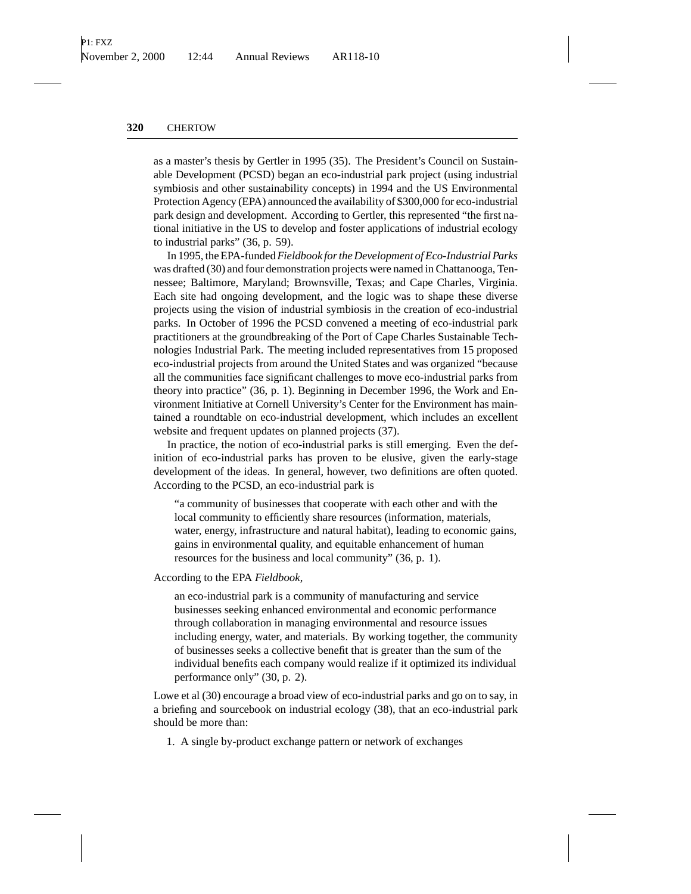as a master's thesis by Gertler in 1995 (35). The President's Council on Sustainable Development (PCSD) began an eco-industrial park project (using industrial symbiosis and other sustainability concepts) in 1994 and the US Environmental Protection Agency (EPA) announced the availability of \$300,000 for eco-industrial park design and development. According to Gertler, this represented "the first national initiative in the US to develop and foster applications of industrial ecology to industrial parks" (36, p. 59).

In 1995, the EPA-funded*Fieldbook for the Development of Eco-Industrial Parks* was drafted (30) and four demonstration projects were named in Chattanooga, Tennessee; Baltimore, Maryland; Brownsville, Texas; and Cape Charles, Virginia. Each site had ongoing development, and the logic was to shape these diverse projects using the vision of industrial symbiosis in the creation of eco-industrial parks. In October of 1996 the PCSD convened a meeting of eco-industrial park practitioners at the groundbreaking of the Port of Cape Charles Sustainable Technologies Industrial Park. The meeting included representatives from 15 proposed eco-industrial projects from around the United States and was organized "because all the communities face significant challenges to move eco-industrial parks from theory into practice" (36, p. 1). Beginning in December 1996, the Work and Environment Initiative at Cornell University's Center for the Environment has maintained a roundtable on eco-industrial development, which includes an excellent website and frequent updates on planned projects (37).

In practice, the notion of eco-industrial parks is still emerging. Even the definition of eco-industrial parks has proven to be elusive, given the early-stage development of the ideas. In general, however, two definitions are often quoted. According to the PCSD, an eco-industrial park is

"a community of businesses that cooperate with each other and with the local community to efficiently share resources (information, materials, water, energy, infrastructure and natural habitat), leading to economic gains, gains in environmental quality, and equitable enhancement of human resources for the business and local community" (36, p. 1).

According to the EPA *Fieldbook*,

an eco-industrial park is a community of manufacturing and service businesses seeking enhanced environmental and economic performance through collaboration in managing environmental and resource issues including energy, water, and materials. By working together, the community of businesses seeks a collective benefit that is greater than the sum of the individual benefits each company would realize if it optimized its individual performance only" (30, p. 2).

Lowe et al (30) encourage a broad view of eco-industrial parks and go on to say, in a briefing and sourcebook on industrial ecology (38), that an eco-industrial park should be more than:

1. A single by-product exchange pattern or network of exchanges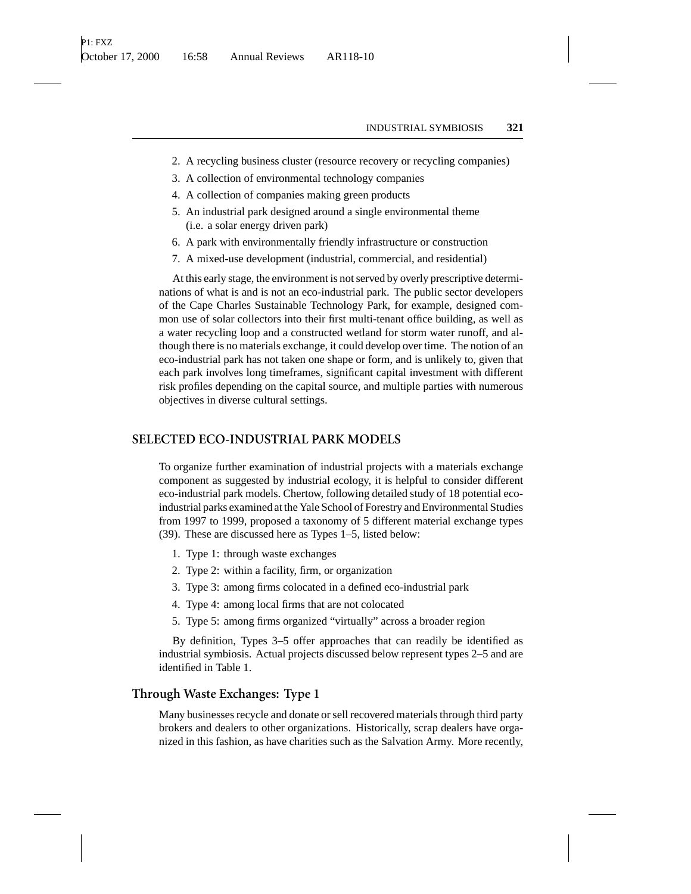- 2. A recycling business cluster (resource recovery or recycling companies)
- 3. A collection of environmental technology companies
- 4. A collection of companies making green products
- 5. An industrial park designed around a single environmental theme (i.e. a solar energy driven park)
- 6. A park with environmentally friendly infrastructure or construction
- 7. A mixed-use development (industrial, commercial, and residential)

At this early stage, the environment is not served by overly prescriptive determinations of what is and is not an eco-industrial park. The public sector developers of the Cape Charles Sustainable Technology Park, for example, designed common use of solar collectors into their first multi-tenant office building, as well as a water recycling loop and a constructed wetland for storm water runoff, and although there is no materials exchange, it could develop over time. The notion of an eco-industrial park has not taken one shape or form, and is unlikely to, given that each park involves long timeframes, significant capital investment with different risk profiles depending on the capital source, and multiple parties with numerous objectives in diverse cultural settings.

### **SELECTED ECO-INDUSTRIAL PARK MODELS**

To organize further examination of industrial projects with a materials exchange component as suggested by industrial ecology, it is helpful to consider different eco-industrial park models. Chertow, following detailed study of 18 potential ecoindustrial parks examined at the Yale School of Forestry and Environmental Studies from 1997 to 1999, proposed a taxonomy of 5 different material exchange types (39). These are discussed here as Types 1–5, listed below:

- 1. Type 1: through waste exchanges
- 2. Type 2: within a facility, firm, or organization
- 3. Type 3: among firms colocated in a defined eco-industrial park
- 4. Type 4: among local firms that are not colocated
- 5. Type 5: among firms organized "virtually" across a broader region

By definition, Types 3–5 offer approaches that can readily be identified as industrial symbiosis. Actual projects discussed below represent types 2–5 and are identified in Table 1.

## **Through Waste Exchanges: Type 1**

Many businesses recycle and donate or sell recovered materials through third party brokers and dealers to other organizations. Historically, scrap dealers have organized in this fashion, as have charities such as the Salvation Army. More recently,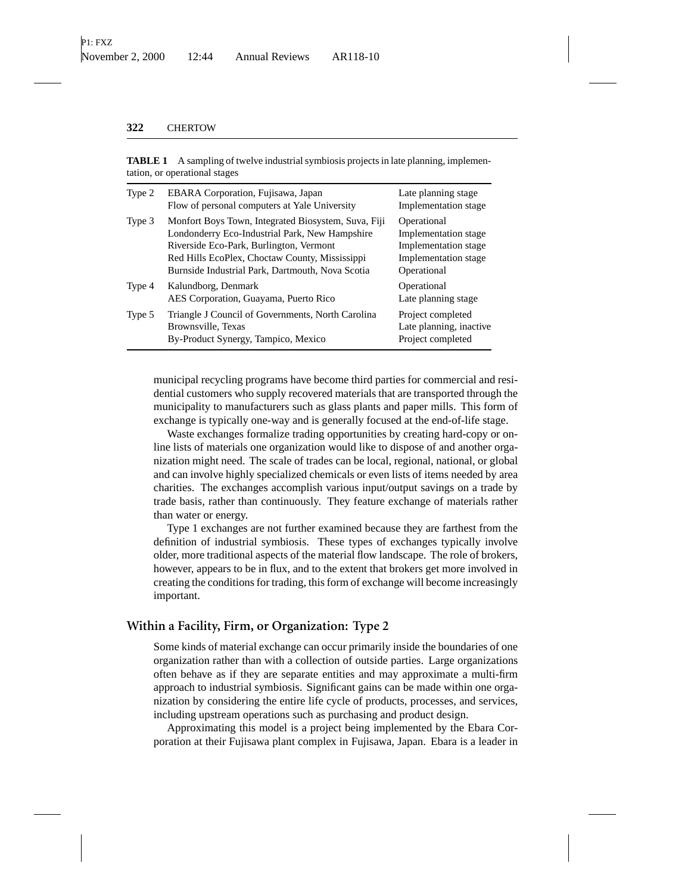| Type 2 | EBARA Corporation, Fujisawa, Japan<br>Flow of personal computers at Yale University                                                                                                                                                                    | Late planning stage<br>Implementation stage                                                        |
|--------|--------------------------------------------------------------------------------------------------------------------------------------------------------------------------------------------------------------------------------------------------------|----------------------------------------------------------------------------------------------------|
| Type 3 | Monfort Boys Town, Integrated Biosystem, Suva, Fiji<br>Londonderry Eco-Industrial Park, New Hampshire<br>Riverside Eco-Park, Burlington, Vermont<br>Red Hills EcoPlex, Choctaw County, Mississippi<br>Burnside Industrial Park, Dartmouth, Nova Scotia | Operational<br>Implementation stage<br>Implementation stage<br>Implementation stage<br>Operational |
| Type 4 | Kalundborg, Denmark<br>AES Corporation, Guayama, Puerto Rico                                                                                                                                                                                           | Operational<br>Late planning stage                                                                 |
| Type 5 | Triangle J Council of Governments, North Carolina<br>Brownsville, Texas<br>By-Product Synergy, Tampico, Mexico                                                                                                                                         | Project completed<br>Late planning, inactive<br>Project completed                                  |

**TABLE 1** A sampling of twelve industrial symbiosis projects in late planning, implementation, or operational stages

municipal recycling programs have become third parties for commercial and residential customers who supply recovered materials that are transported through the municipality to manufacturers such as glass plants and paper mills. This form of exchange is typically one-way and is generally focused at the end-of-life stage.

Waste exchanges formalize trading opportunities by creating hard-copy or online lists of materials one organization would like to dispose of and another organization might need. The scale of trades can be local, regional, national, or global and can involve highly specialized chemicals or even lists of items needed by area charities. The exchanges accomplish various input/output savings on a trade by trade basis, rather than continuously. They feature exchange of materials rather than water or energy.

Type 1 exchanges are not further examined because they are farthest from the definition of industrial symbiosis. These types of exchanges typically involve older, more traditional aspects of the material flow landscape. The role of brokers, however, appears to be in flux, and to the extent that brokers get more involved in creating the conditions for trading, this form of exchange will become increasingly important.

## **Within a Facility, Firm, or Organization: Type 2**

Some kinds of material exchange can occur primarily inside the boundaries of one organization rather than with a collection of outside parties. Large organizations often behave as if they are separate entities and may approximate a multi-firm approach to industrial symbiosis. Significant gains can be made within one organization by considering the entire life cycle of products, processes, and services, including upstream operations such as purchasing and product design.

Approximating this model is a project being implemented by the Ebara Corporation at their Fujisawa plant complex in Fujisawa, Japan. Ebara is a leader in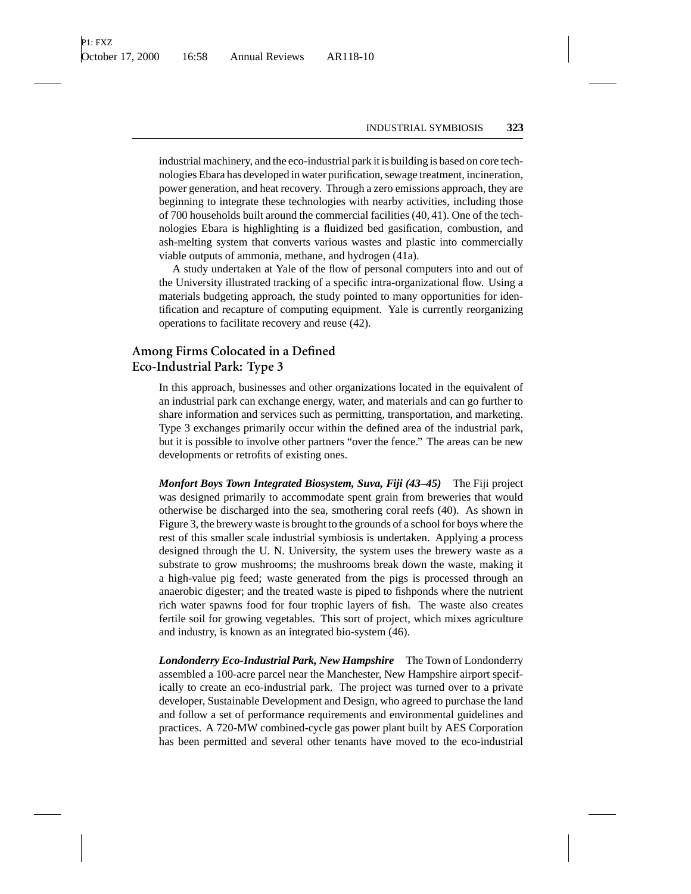industrial machinery, and the eco-industrial park it is building is based on core technologies Ebara has developed in water purification, sewage treatment, incineration, power generation, and heat recovery. Through a zero emissions approach, they are beginning to integrate these technologies with nearby activities, including those of 700 households built around the commercial facilities (40, 41). One of the technologies Ebara is highlighting is a fluidized bed gasification, combustion, and ash-melting system that converts various wastes and plastic into commercially viable outputs of ammonia, methane, and hydrogen (41a).

A study undertaken at Yale of the flow of personal computers into and out of the University illustrated tracking of a specific intra-organizational flow. Using a materials budgeting approach, the study pointed to many opportunities for identification and recapture of computing equipment. Yale is currently reorganizing operations to facilitate recovery and reuse (42).

# **Among Firms Colocated in a Defined Eco-Industrial Park: Type 3**

In this approach, businesses and other organizations located in the equivalent of an industrial park can exchange energy, water, and materials and can go further to share information and services such as permitting, transportation, and marketing. Type 3 exchanges primarily occur within the defined area of the industrial park, but it is possible to involve other partners "over the fence." The areas can be new developments or retrofits of existing ones.

*Monfort Boys Town Integrated Biosystem, Suva, Fiji (43–45)* The Fiji project was designed primarily to accommodate spent grain from breweries that would otherwise be discharged into the sea, smothering coral reefs (40). As shown in Figure 3, the brewery waste is brought to the grounds of a school for boys where the rest of this smaller scale industrial symbiosis is undertaken. Applying a process designed through the U. N. University, the system uses the brewery waste as a substrate to grow mushrooms; the mushrooms break down the waste, making it a high-value pig feed; waste generated from the pigs is processed through an anaerobic digester; and the treated waste is piped to fishponds where the nutrient rich water spawns food for four trophic layers of fish. The waste also creates fertile soil for growing vegetables. This sort of project, which mixes agriculture and industry, is known as an integrated bio-system (46).

*Londonderry Eco-Industrial Park, New Hampshire* The Town of Londonderry assembled a 100-acre parcel near the Manchester, New Hampshire airport specifically to create an eco-industrial park. The project was turned over to a private developer, Sustainable Development and Design, who agreed to purchase the land and follow a set of performance requirements and environmental guidelines and practices. A 720-MW combined-cycle gas power plant built by AES Corporation has been permitted and several other tenants have moved to the eco-industrial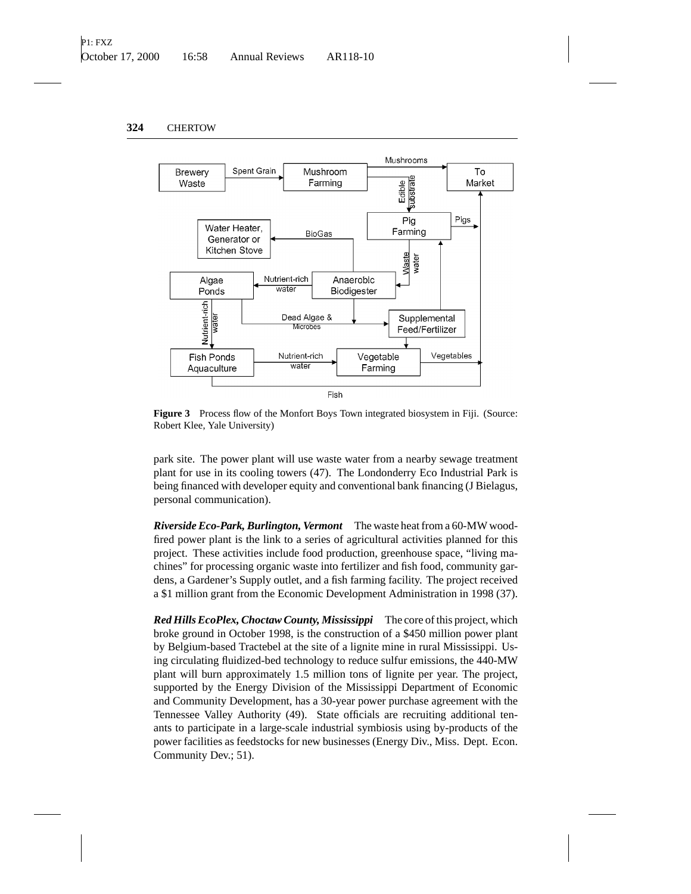

**Figure 3** Process flow of the Monfort Boys Town integrated biosystem in Fiji. (Source: Robert Klee, Yale University)

park site. The power plant will use waste water from a nearby sewage treatment plant for use in its cooling towers (47). The Londonderry Eco Industrial Park is being financed with developer equity and conventional bank financing (J Bielagus, personal communication).

*Riverside Eco-Park, Burlington, Vermont* The waste heat from a 60-MW woodfired power plant is the link to a series of agricultural activities planned for this project. These activities include food production, greenhouse space, "living machines" for processing organic waste into fertilizer and fish food, community gardens, a Gardener's Supply outlet, and a fish farming facility. The project received a \$1 million grant from the Economic Development Administration in 1998 (37).

*Red Hills EcoPlex, Choctaw County, Mississippi* The core of this project, which broke ground in October 1998, is the construction of a \$450 million power plant by Belgium-based Tractebel at the site of a lignite mine in rural Mississippi. Using circulating fluidized-bed technology to reduce sulfur emissions, the 440-MW plant will burn approximately 1.5 million tons of lignite per year. The project, supported by the Energy Division of the Mississippi Department of Economic and Community Development, has a 30-year power purchase agreement with the Tennessee Valley Authority (49). State officials are recruiting additional tenants to participate in a large-scale industrial symbiosis using by-products of the power facilities as feedstocks for new businesses (Energy Div., Miss. Dept. Econ. Community Dev.; 51).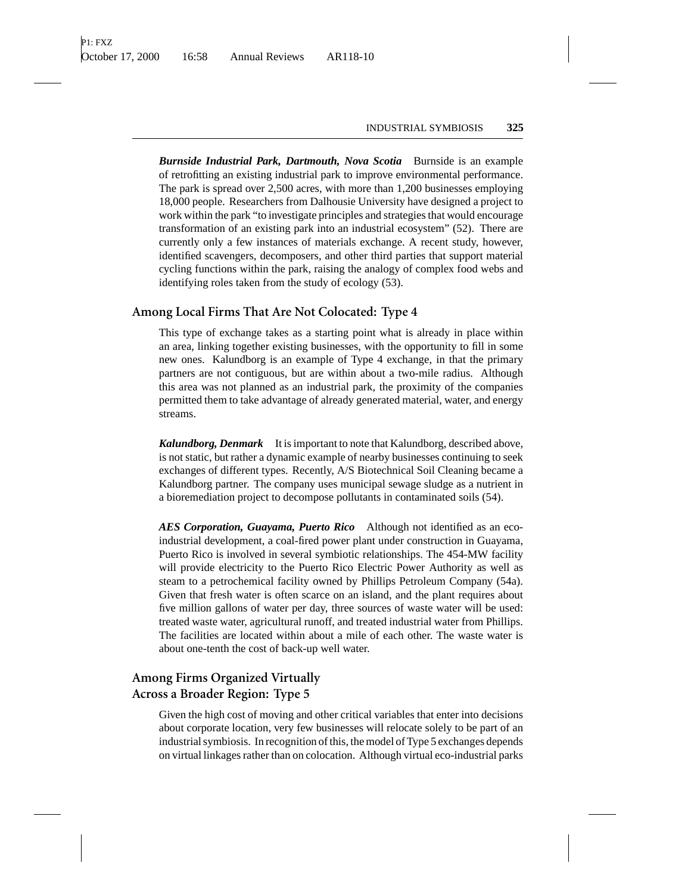*Burnside Industrial Park, Dartmouth, Nova Scotia* Burnside is an example of retrofitting an existing industrial park to improve environmental performance. The park is spread over 2,500 acres, with more than 1,200 businesses employing 18,000 people. Researchers from Dalhousie University have designed a project to work within the park "to investigate principles and strategies that would encourage transformation of an existing park into an industrial ecosystem" (52). There are currently only a few instances of materials exchange. A recent study, however, identified scavengers, decomposers, and other third parties that support material cycling functions within the park, raising the analogy of complex food webs and identifying roles taken from the study of ecology (53).

#### **Among Local Firms That Are Not Colocated: Type 4**

This type of exchange takes as a starting point what is already in place within an area, linking together existing businesses, with the opportunity to fill in some new ones. Kalundborg is an example of Type 4 exchange, in that the primary partners are not contiguous, but are within about a two-mile radius. Although this area was not planned as an industrial park, the proximity of the companies permitted them to take advantage of already generated material, water, and energy streams.

*Kalundborg, Denmark* It is important to note that Kalundborg, described above, is not static, but rather a dynamic example of nearby businesses continuing to seek exchanges of different types. Recently, A/S Biotechnical Soil Cleaning became a Kalundborg partner. The company uses municipal sewage sludge as a nutrient in a bioremediation project to decompose pollutants in contaminated soils (54).

*AES Corporation, Guayama, Puerto Rico* Although not identified as an ecoindustrial development, a coal-fired power plant under construction in Guayama, Puerto Rico is involved in several symbiotic relationships. The 454-MW facility will provide electricity to the Puerto Rico Electric Power Authority as well as steam to a petrochemical facility owned by Phillips Petroleum Company (54a). Given that fresh water is often scarce on an island, and the plant requires about five million gallons of water per day, three sources of waste water will be used: treated waste water, agricultural runoff, and treated industrial water from Phillips. The facilities are located within about a mile of each other. The waste water is about one-tenth the cost of back-up well water.

# **Among Firms Organized Virtually Across a Broader Region: Type 5**

Given the high cost of moving and other critical variables that enter into decisions about corporate location, very few businesses will relocate solely to be part of an industrial symbiosis. In recognition of this, the model of Type 5 exchanges depends on virtual linkages rather than on colocation. Although virtual eco-industrial parks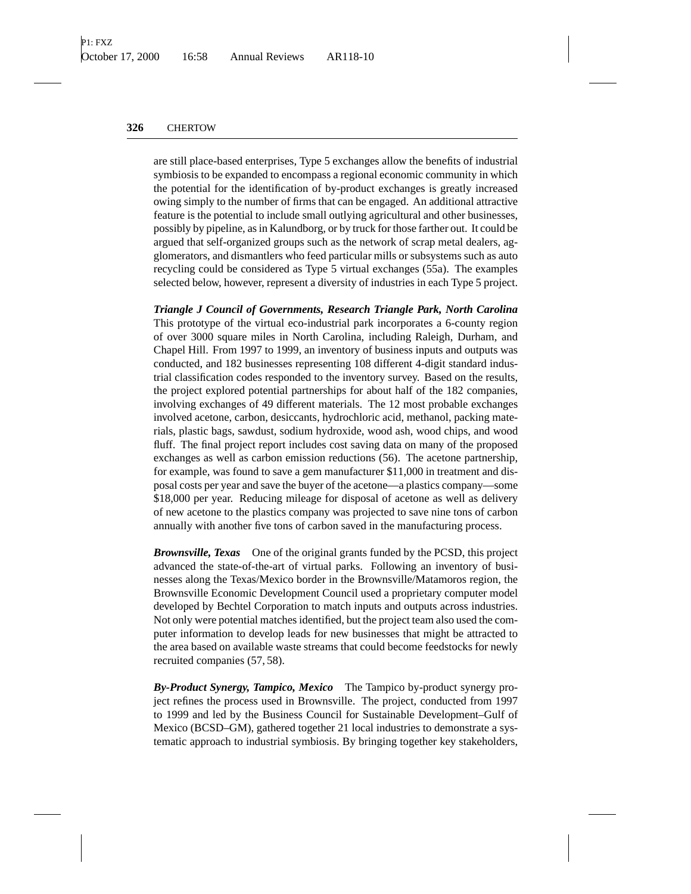are still place-based enterprises, Type 5 exchanges allow the benefits of industrial symbiosis to be expanded to encompass a regional economic community in which the potential for the identification of by-product exchanges is greatly increased owing simply to the number of firms that can be engaged. An additional attractive feature is the potential to include small outlying agricultural and other businesses, possibly by pipeline, as in Kalundborg, or by truck for those farther out. It could be argued that self-organized groups such as the network of scrap metal dealers, agglomerators, and dismantlers who feed particular mills or subsystems such as auto recycling could be considered as Type 5 virtual exchanges (55a). The examples selected below, however, represent a diversity of industries in each Type 5 project.

*Triangle J Council of Governments, Research Triangle Park, North Carolina* This prototype of the virtual eco-industrial park incorporates a 6-county region of over 3000 square miles in North Carolina, including Raleigh, Durham, and Chapel Hill. From 1997 to 1999, an inventory of business inputs and outputs was conducted, and 182 businesses representing 108 different 4-digit standard industrial classification codes responded to the inventory survey. Based on the results, the project explored potential partnerships for about half of the 182 companies, involving exchanges of 49 different materials. The 12 most probable exchanges involved acetone, carbon, desiccants, hydrochloric acid, methanol, packing materials, plastic bags, sawdust, sodium hydroxide, wood ash, wood chips, and wood fluff. The final project report includes cost saving data on many of the proposed exchanges as well as carbon emission reductions (56). The acetone partnership, for example, was found to save a gem manufacturer \$11,000 in treatment and disposal costs per year and save the buyer of the acetone—a plastics company—some \$18,000 per year. Reducing mileage for disposal of acetone as well as delivery of new acetone to the plastics company was projected to save nine tons of carbon annually with another five tons of carbon saved in the manufacturing process.

*Brownsville, Texas* One of the original grants funded by the PCSD, this project advanced the state-of-the-art of virtual parks. Following an inventory of businesses along the Texas/Mexico border in the Brownsville/Matamoros region, the Brownsville Economic Development Council used a proprietary computer model developed by Bechtel Corporation to match inputs and outputs across industries. Not only were potential matches identified, but the project team also used the computer information to develop leads for new businesses that might be attracted to the area based on available waste streams that could become feedstocks for newly recruited companies (57, 58).

*By-Product Synergy, Tampico, Mexico* The Tampico by-product synergy project refines the process used in Brownsville. The project, conducted from 1997 to 1999 and led by the Business Council for Sustainable Development–Gulf of Mexico (BCSD–GM), gathered together 21 local industries to demonstrate a systematic approach to industrial symbiosis. By bringing together key stakeholders,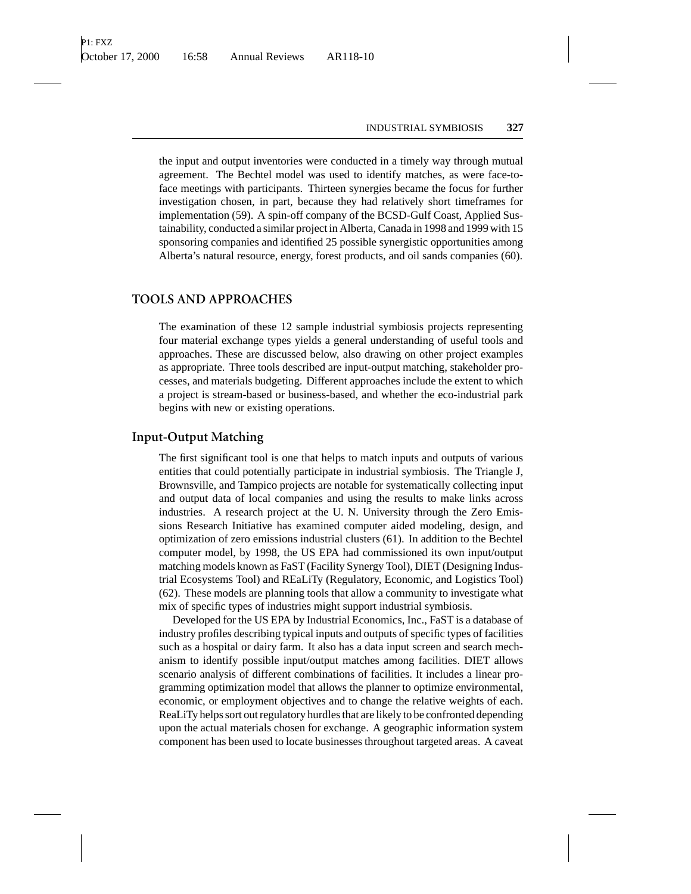the input and output inventories were conducted in a timely way through mutual agreement. The Bechtel model was used to identify matches, as were face-toface meetings with participants. Thirteen synergies became the focus for further investigation chosen, in part, because they had relatively short timeframes for implementation (59). A spin-off company of the BCSD-Gulf Coast, Applied Sustainability, conducted a similar project in Alberta, Canada in 1998 and 1999 with 15 sponsoring companies and identified 25 possible synergistic opportunities among Alberta's natural resource, energy, forest products, and oil sands companies (60).

### **TOOLS AND APPROACHES**

The examination of these 12 sample industrial symbiosis projects representing four material exchange types yields a general understanding of useful tools and approaches. These are discussed below, also drawing on other project examples as appropriate. Three tools described are input-output matching, stakeholder processes, and materials budgeting. Different approaches include the extent to which a project is stream-based or business-based, and whether the eco-industrial park begins with new or existing operations.

#### **Input-Output Matching**

The first significant tool is one that helps to match inputs and outputs of various entities that could potentially participate in industrial symbiosis. The Triangle J, Brownsville, and Tampico projects are notable for systematically collecting input and output data of local companies and using the results to make links across industries. A research project at the U. N. University through the Zero Emissions Research Initiative has examined computer aided modeling, design, and optimization of zero emissions industrial clusters (61). In addition to the Bechtel computer model, by 1998, the US EPA had commissioned its own input/output matching models known as FaST (Facility Synergy Tool), DIET (Designing Industrial Ecosystems Tool) and REaLiTy (Regulatory, Economic, and Logistics Tool) (62). These models are planning tools that allow a community to investigate what mix of specific types of industries might support industrial symbiosis.

Developed for the US EPA by Industrial Economics, Inc., FaST is a database of industry profiles describing typical inputs and outputs of specific types of facilities such as a hospital or dairy farm. It also has a data input screen and search mechanism to identify possible input/output matches among facilities. DIET allows scenario analysis of different combinations of facilities. It includes a linear programming optimization model that allows the planner to optimize environmental, economic, or employment objectives and to change the relative weights of each. ReaLiTy helps sort out regulatory hurdles that are likely to be confronted depending upon the actual materials chosen for exchange. A geographic information system component has been used to locate businesses throughout targeted areas. A caveat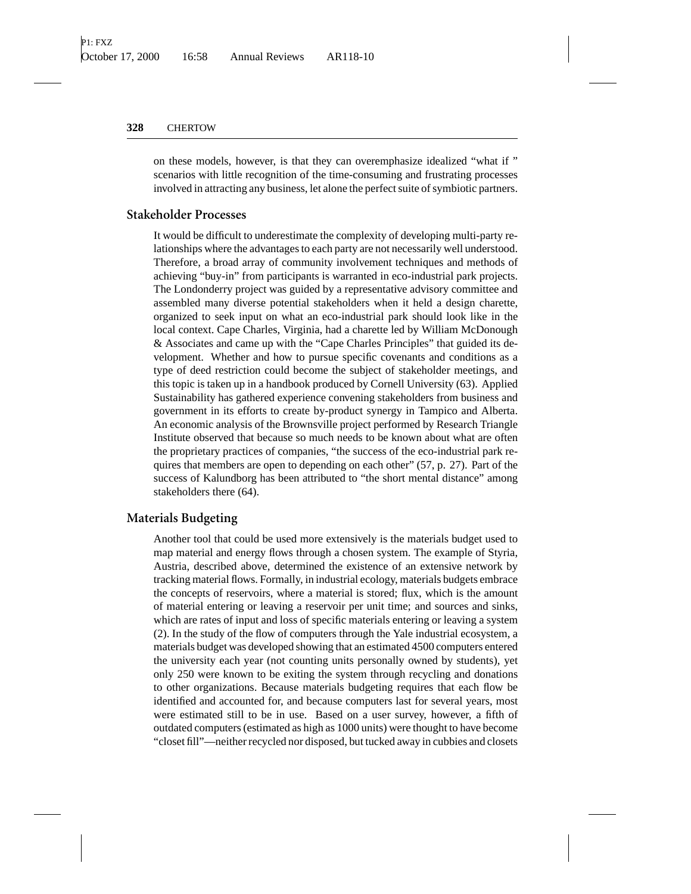on these models, however, is that they can overemphasize idealized "what if " scenarios with little recognition of the time-consuming and frustrating processes involved in attracting any business, let alone the perfect suite of symbiotic partners.

## **Stakeholder Processes**

It would be difficult to underestimate the complexity of developing multi-party relationships where the advantages to each party are not necessarily well understood. Therefore, a broad array of community involvement techniques and methods of achieving "buy-in" from participants is warranted in eco-industrial park projects. The Londonderry project was guided by a representative advisory committee and assembled many diverse potential stakeholders when it held a design charette, organized to seek input on what an eco-industrial park should look like in the local context. Cape Charles, Virginia, had a charette led by William McDonough & Associates and came up with the "Cape Charles Principles" that guided its development. Whether and how to pursue specific covenants and conditions as a type of deed restriction could become the subject of stakeholder meetings, and this topic is taken up in a handbook produced by Cornell University (63). Applied Sustainability has gathered experience convening stakeholders from business and government in its efforts to create by-product synergy in Tampico and Alberta. An economic analysis of the Brownsville project performed by Research Triangle Institute observed that because so much needs to be known about what are often the proprietary practices of companies, "the success of the eco-industrial park requires that members are open to depending on each other" (57, p. 27). Part of the success of Kalundborg has been attributed to "the short mental distance" among stakeholders there (64).

## **Materials Budgeting**

Another tool that could be used more extensively is the materials budget used to map material and energy flows through a chosen system. The example of Styria, Austria, described above, determined the existence of an extensive network by tracking material flows. Formally, in industrial ecology, materials budgets embrace the concepts of reservoirs, where a material is stored; flux, which is the amount of material entering or leaving a reservoir per unit time; and sources and sinks, which are rates of input and loss of specific materials entering or leaving a system (2). In the study of the flow of computers through the Yale industrial ecosystem, a materials budget was developed showing that an estimated 4500 computers entered the university each year (not counting units personally owned by students), yet only 250 were known to be exiting the system through recycling and donations to other organizations. Because materials budgeting requires that each flow be identified and accounted for, and because computers last for several years, most were estimated still to be in use. Based on a user survey, however, a fifth of outdated computers (estimated as high as 1000 units) were thought to have become "closet fill"—neither recycled nor disposed, but tucked away in cubbies and closets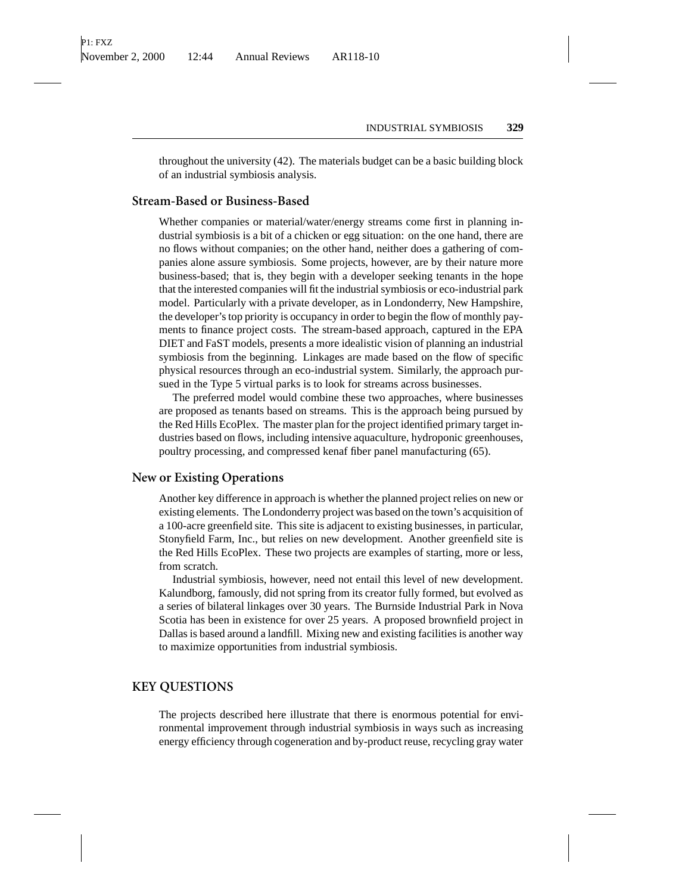throughout the university (42). The materials budget can be a basic building block of an industrial symbiosis analysis.

## **Stream-Based or Business-Based**

Whether companies or material/water/energy streams come first in planning industrial symbiosis is a bit of a chicken or egg situation: on the one hand, there are no flows without companies; on the other hand, neither does a gathering of companies alone assure symbiosis. Some projects, however, are by their nature more business-based; that is, they begin with a developer seeking tenants in the hope that the interested companies will fit the industrial symbiosis or eco-industrial park model. Particularly with a private developer, as in Londonderry, New Hampshire, the developer's top priority is occupancy in order to begin the flow of monthly payments to finance project costs. The stream-based approach, captured in the EPA DIET and FaST models, presents a more idealistic vision of planning an industrial symbiosis from the beginning. Linkages are made based on the flow of specific physical resources through an eco-industrial system. Similarly, the approach pursued in the Type 5 virtual parks is to look for streams across businesses.

The preferred model would combine these two approaches, where businesses are proposed as tenants based on streams. This is the approach being pursued by the Red Hills EcoPlex. The master plan for the project identified primary target industries based on flows, including intensive aquaculture, hydroponic greenhouses, poultry processing, and compressed kenaf fiber panel manufacturing (65).

## **New or Existing Operations**

Another key difference in approach is whether the planned project relies on new or existing elements. The Londonderry project was based on the town's acquisition of a 100-acre greenfield site. This site is adjacent to existing businesses, in particular, Stonyfield Farm, Inc., but relies on new development. Another greenfield site is the Red Hills EcoPlex. These two projects are examples of starting, more or less, from scratch.

Industrial symbiosis, however, need not entail this level of new development. Kalundborg, famously, did not spring from its creator fully formed, but evolved as a series of bilateral linkages over 30 years. The Burnside Industrial Park in Nova Scotia has been in existence for over 25 years. A proposed brownfield project in Dallas is based around a landfill. Mixing new and existing facilities is another way to maximize opportunities from industrial symbiosis.

#### **KEY QUESTIONS**

The projects described here illustrate that there is enormous potential for environmental improvement through industrial symbiosis in ways such as increasing energy efficiency through cogeneration and by-product reuse, recycling gray water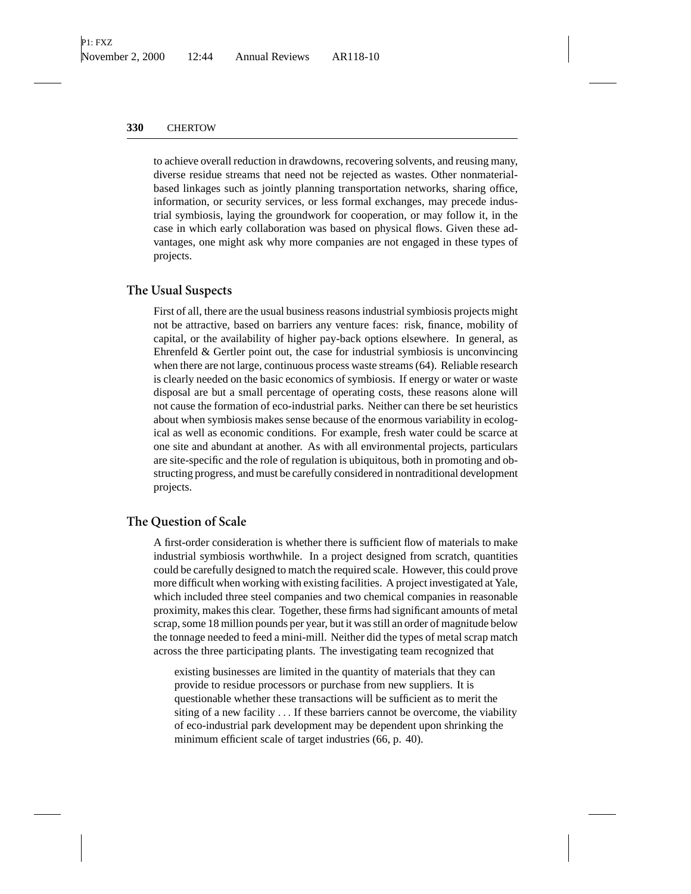to achieve overall reduction in drawdowns, recovering solvents, and reusing many, diverse residue streams that need not be rejected as wastes. Other nonmaterialbased linkages such as jointly planning transportation networks, sharing office, information, or security services, or less formal exchanges, may precede industrial symbiosis, laying the groundwork for cooperation, or may follow it, in the case in which early collaboration was based on physical flows. Given these advantages, one might ask why more companies are not engaged in these types of projects.

#### **The Usual Suspects**

First of all, there are the usual business reasons industrial symbiosis projects might not be attractive, based on barriers any venture faces: risk, finance, mobility of capital, or the availability of higher pay-back options elsewhere. In general, as Ehrenfeld & Gertler point out, the case for industrial symbiosis is unconvincing when there are not large, continuous process waste streams (64). Reliable research is clearly needed on the basic economics of symbiosis. If energy or water or waste disposal are but a small percentage of operating costs, these reasons alone will not cause the formation of eco-industrial parks. Neither can there be set heuristics about when symbiosis makes sense because of the enormous variability in ecological as well as economic conditions. For example, fresh water could be scarce at one site and abundant at another. As with all environmental projects, particulars are site-specific and the role of regulation is ubiquitous, both in promoting and obstructing progress, and must be carefully considered in nontraditional development projects.

#### **The Question of Scale**

A first-order consideration is whether there is sufficient flow of materials to make industrial symbiosis worthwhile. In a project designed from scratch, quantities could be carefully designed to match the required scale. However, this could prove more difficult when working with existing facilities. A project investigated at Yale, which included three steel companies and two chemical companies in reasonable proximity, makes this clear. Together, these firms had significant amounts of metal scrap, some 18 million pounds per year, but it was still an order of magnitude below the tonnage needed to feed a mini-mill. Neither did the types of metal scrap match across the three participating plants. The investigating team recognized that

existing businesses are limited in the quantity of materials that they can provide to residue processors or purchase from new suppliers. It is questionable whether these transactions will be sufficient as to merit the siting of a new facility ... If these barriers cannot be overcome, the viability of eco-industrial park development may be dependent upon shrinking the minimum efficient scale of target industries (66, p. 40).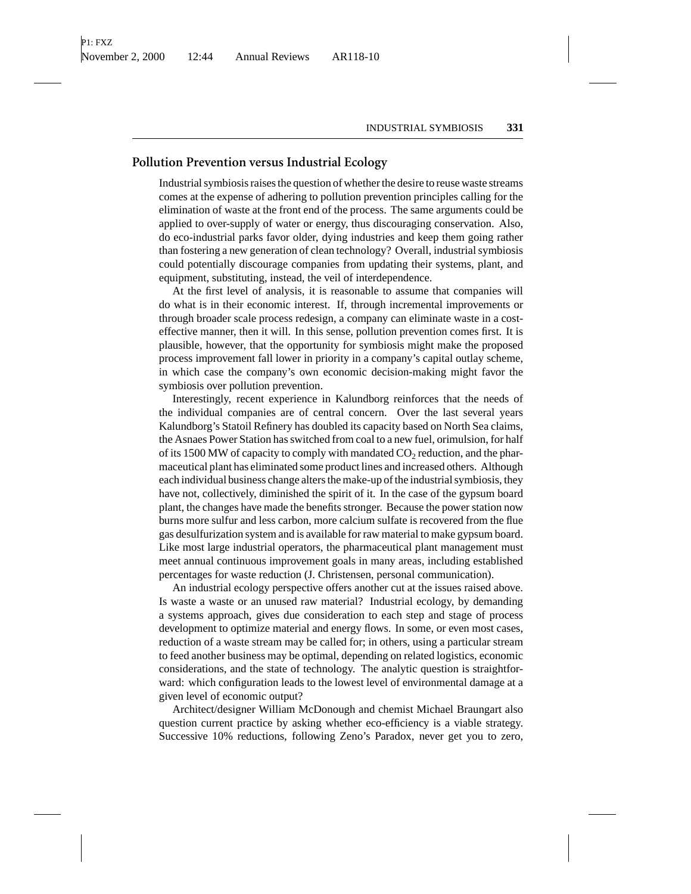# **Pollution Prevention versus Industrial Ecology**

Industrial symbiosis raises the question of whether the desire to reuse waste streams comes at the expense of adhering to pollution prevention principles calling for the elimination of waste at the front end of the process. The same arguments could be applied to over-supply of water or energy, thus discouraging conservation. Also, do eco-industrial parks favor older, dying industries and keep them going rather than fostering a new generation of clean technology? Overall, industrial symbiosis could potentially discourage companies from updating their systems, plant, and equipment, substituting, instead, the veil of interdependence.

At the first level of analysis, it is reasonable to assume that companies will do what is in their economic interest. If, through incremental improvements or through broader scale process redesign, a company can eliminate waste in a costeffective manner, then it will. In this sense, pollution prevention comes first. It is plausible, however, that the opportunity for symbiosis might make the proposed process improvement fall lower in priority in a company's capital outlay scheme, in which case the company's own economic decision-making might favor the symbiosis over pollution prevention.

Interestingly, recent experience in Kalundborg reinforces that the needs of the individual companies are of central concern. Over the last several years Kalundborg's Statoil Refinery has doubled its capacity based on North Sea claims, the Asnaes Power Station has switched from coal to a new fuel, orimulsion, for half of its 1500 MW of capacity to comply with mandated  $CO<sub>2</sub>$  reduction, and the pharmaceutical plant has eliminated some product lines and increased others. Although each individual business change alters the make-up of the industrial symbiosis, they have not, collectively, diminished the spirit of it. In the case of the gypsum board plant, the changes have made the benefits stronger. Because the power station now burns more sulfur and less carbon, more calcium sulfate is recovered from the flue gas desulfurization system and is available for raw material to make gypsum board. Like most large industrial operators, the pharmaceutical plant management must meet annual continuous improvement goals in many areas, including established percentages for waste reduction (J. Christensen, personal communication).

An industrial ecology perspective offers another cut at the issues raised above. Is waste a waste or an unused raw material? Industrial ecology, by demanding a systems approach, gives due consideration to each step and stage of process development to optimize material and energy flows. In some, or even most cases, reduction of a waste stream may be called for; in others, using a particular stream to feed another business may be optimal, depending on related logistics, economic considerations, and the state of technology. The analytic question is straightforward: which configuration leads to the lowest level of environmental damage at a given level of economic output?

Architect/designer William McDonough and chemist Michael Braungart also question current practice by asking whether eco-efficiency is a viable strategy. Successive 10% reductions, following Zeno's Paradox, never get you to zero,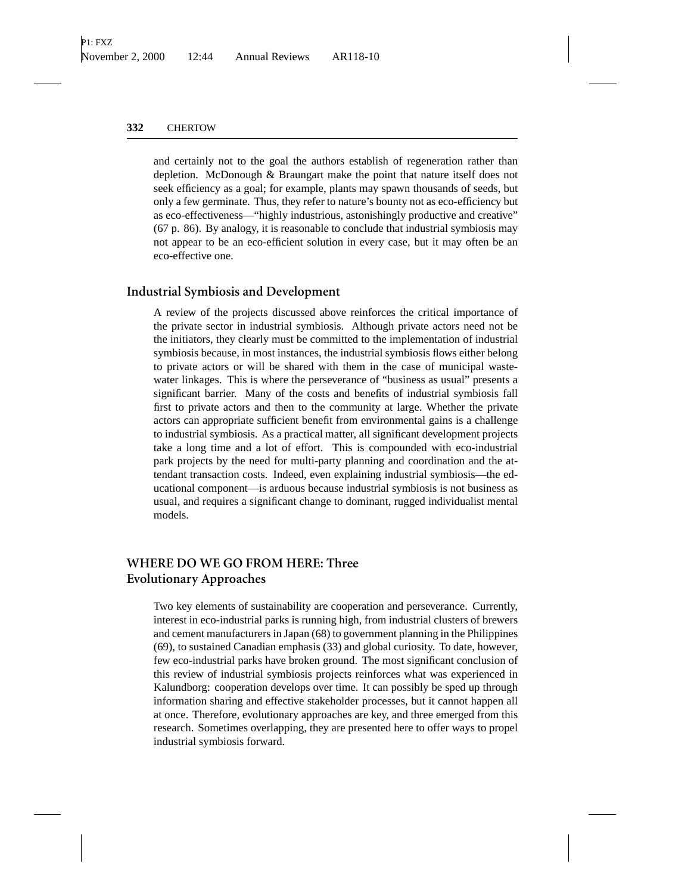and certainly not to the goal the authors establish of regeneration rather than depletion. McDonough & Braungart make the point that nature itself does not seek efficiency as a goal; for example, plants may spawn thousands of seeds, but only a few germinate. Thus, they refer to nature's bounty not as eco-efficiency but as eco-effectiveness—"highly industrious, astonishingly productive and creative" (67 p. 86). By analogy, it is reasonable to conclude that industrial symbiosis may not appear to be an eco-efficient solution in every case, but it may often be an eco-effective one.

#### **Industrial Symbiosis and Development**

A review of the projects discussed above reinforces the critical importance of the private sector in industrial symbiosis. Although private actors need not be the initiators, they clearly must be committed to the implementation of industrial symbiosis because, in most instances, the industrial symbiosis flows either belong to private actors or will be shared with them in the case of municipal wastewater linkages. This is where the perseverance of "business as usual" presents a significant barrier. Many of the costs and benefits of industrial symbiosis fall first to private actors and then to the community at large. Whether the private actors can appropriate sufficient benefit from environmental gains is a challenge to industrial symbiosis. As a practical matter, all significant development projects take a long time and a lot of effort. This is compounded with eco-industrial park projects by the need for multi-party planning and coordination and the attendant transaction costs. Indeed, even explaining industrial symbiosis—the educational component—is arduous because industrial symbiosis is not business as usual, and requires a significant change to dominant, rugged individualist mental models.

# **WHERE DO WE GO FROM HERE: Three Evolutionary Approaches**

Two key elements of sustainability are cooperation and perseverance. Currently, interest in eco-industrial parks is running high, from industrial clusters of brewers and cement manufacturers in Japan (68) to government planning in the Philippines (69), to sustained Canadian emphasis (33) and global curiosity. To date, however, few eco-industrial parks have broken ground. The most significant conclusion of this review of industrial symbiosis projects reinforces what was experienced in Kalundborg: cooperation develops over time. It can possibly be sped up through information sharing and effective stakeholder processes, but it cannot happen all at once. Therefore, evolutionary approaches are key, and three emerged from this research. Sometimes overlapping, they are presented here to offer ways to propel industrial symbiosis forward.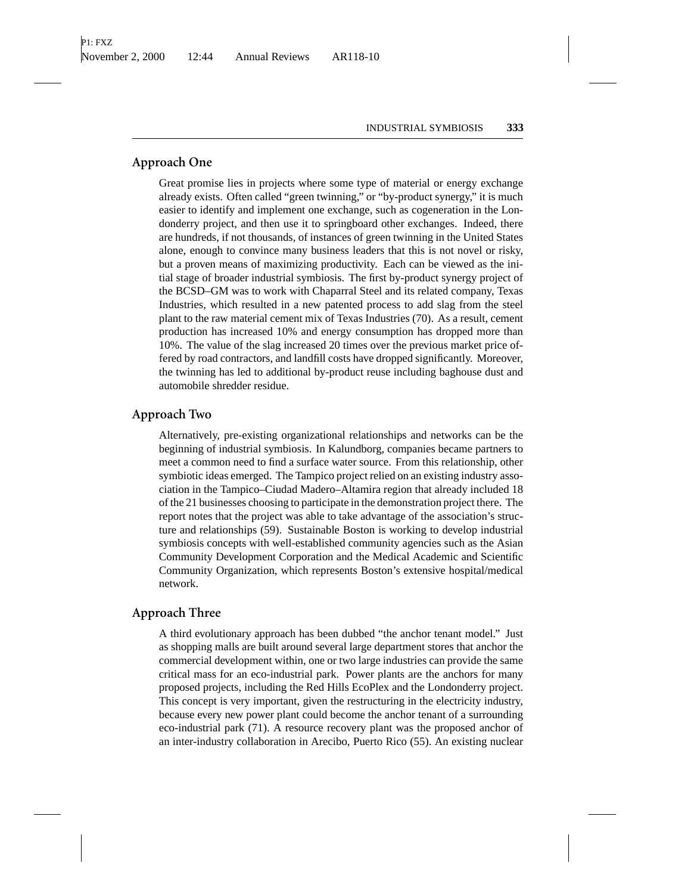## **Approach One**

Great promise lies in projects where some type of material or energy exchange already exists. Often called "green twinning," or "by-product synergy," it is much easier to identify and implement one exchange, such as cogeneration in the Londonderry project, and then use it to springboard other exchanges. Indeed, there are hundreds, if not thousands, of instances of green twinning in the United States alone, enough to convince many business leaders that this is not novel or risky, but a proven means of maximizing productivity. Each can be viewed as the initial stage of broader industrial symbiosis. The first by-product synergy project of the BCSD–GM was to work with Chaparral Steel and its related company, Texas Industries, which resulted in a new patented process to add slag from the steel plant to the raw material cement mix of Texas Industries (70). As a result, cement production has increased 10% and energy consumption has dropped more than 10%. The value of the slag increased 20 times over the previous market price offered by road contractors, and landfill costs have dropped significantly. Moreover, the twinning has led to additional by-product reuse including baghouse dust and automobile shredder residue.

#### **Approach Two**

Alternatively, pre-existing organizational relationships and networks can be the beginning of industrial symbiosis. In Kalundborg, companies became partners to meet a common need to find a surface water source. From this relationship, other symbiotic ideas emerged. The Tampico project relied on an existing industry association in the Tampico–Ciudad Madero–Altamira region that already included 18 of the 21 businesses choosing to participate in the demonstration project there. The report notes that the project was able to take advantage of the association's structure and relationships (59). Sustainable Boston is working to develop industrial symbiosis concepts with well-established community agencies such as the Asian Community Development Corporation and the Medical Academic and Scientific Community Organization, which represents Boston's extensive hospital/medical network.

## **Approach Three**

A third evolutionary approach has been dubbed "the anchor tenant model." Just as shopping malls are built around several large department stores that anchor the commercial development within, one or two large industries can provide the same critical mass for an eco-industrial park. Power plants are the anchors for many proposed projects, including the Red Hills EcoPlex and the Londonderry project. This concept is very important, given the restructuring in the electricity industry, because every new power plant could become the anchor tenant of a surrounding eco-industrial park (71). A resource recovery plant was the proposed anchor of an inter-industry collaboration in Arecibo, Puerto Rico (55). An existing nuclear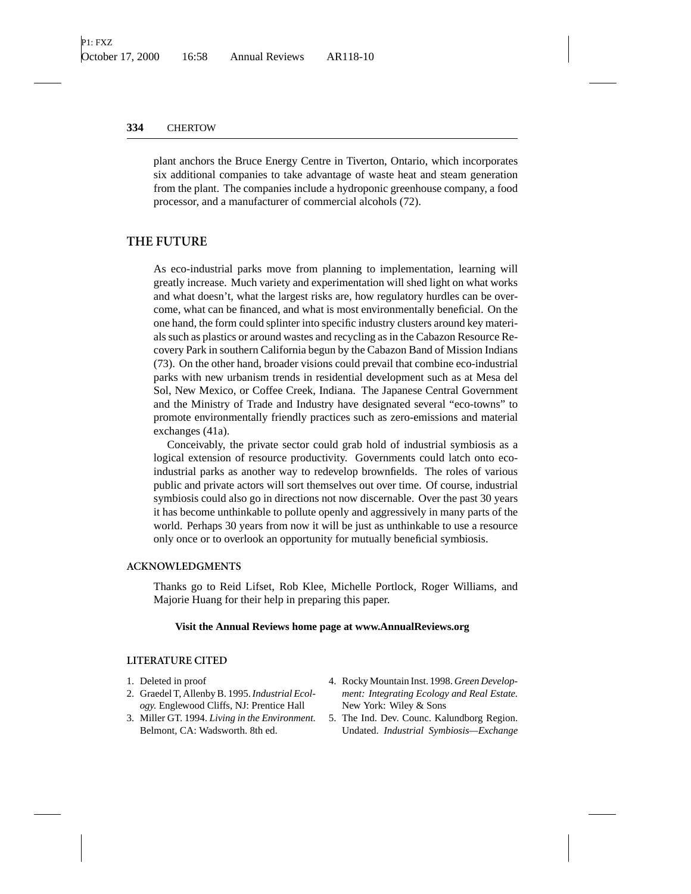plant anchors the Bruce Energy Centre in Tiverton, Ontario, which incorporates six additional companies to take advantage of waste heat and steam generation from the plant. The companies include a hydroponic greenhouse company, a food processor, and a manufacturer of commercial alcohols (72).

### **THE FUTURE**

As eco-industrial parks move from planning to implementation, learning will greatly increase. Much variety and experimentation will shed light on what works and what doesn't, what the largest risks are, how regulatory hurdles can be overcome, what can be financed, and what is most environmentally beneficial. On the one hand, the form could splinter into specific industry clusters around key materials such as plastics or around wastes and recycling as in the Cabazon Resource Recovery Park in southern California begun by the Cabazon Band of Mission Indians (73). On the other hand, broader visions could prevail that combine eco-industrial parks with new urbanism trends in residential development such as at Mesa del Sol, New Mexico, or Coffee Creek, Indiana. The Japanese Central Government and the Ministry of Trade and Industry have designated several "eco-towns" to promote environmentally friendly practices such as zero-emissions and material exchanges (41a).

Conceivably, the private sector could grab hold of industrial symbiosis as a logical extension of resource productivity. Governments could latch onto ecoindustrial parks as another way to redevelop brownfields. The roles of various public and private actors will sort themselves out over time. Of course, industrial symbiosis could also go in directions not now discernable. Over the past 30 years it has become unthinkable to pollute openly and aggressively in many parts of the world. Perhaps 30 years from now it will be just as unthinkable to use a resource only once or to overlook an opportunity for mutually beneficial symbiosis.

#### **ACKNOWLEDGMENTS**

Thanks go to Reid Lifset, Rob Klee, Michelle Portlock, Roger Williams, and Majorie Huang for their help in preparing this paper.

#### **Visit the Annual Reviews home page at www.AnnualReviews.org**

#### **LITERATURE CITED**

- 1. Deleted in proof
- 2. Graedel T, Allenby B. 1995.*Industrial Ecology.* Englewood Cliffs, NJ: Prentice Hall
- 3. Miller GT. 1994. *Living in the Environment.* Belmont, CA: Wadsworth. 8th ed.
- 4. Rocky Mountain Inst. 1998. *Green Development: Integrating Ecology and Real Estate.* New York: Wiley & Sons
- 5. The Ind. Dev. Counc. Kalundborg Region. Undated. *Industrial Symbiosis—Exchange*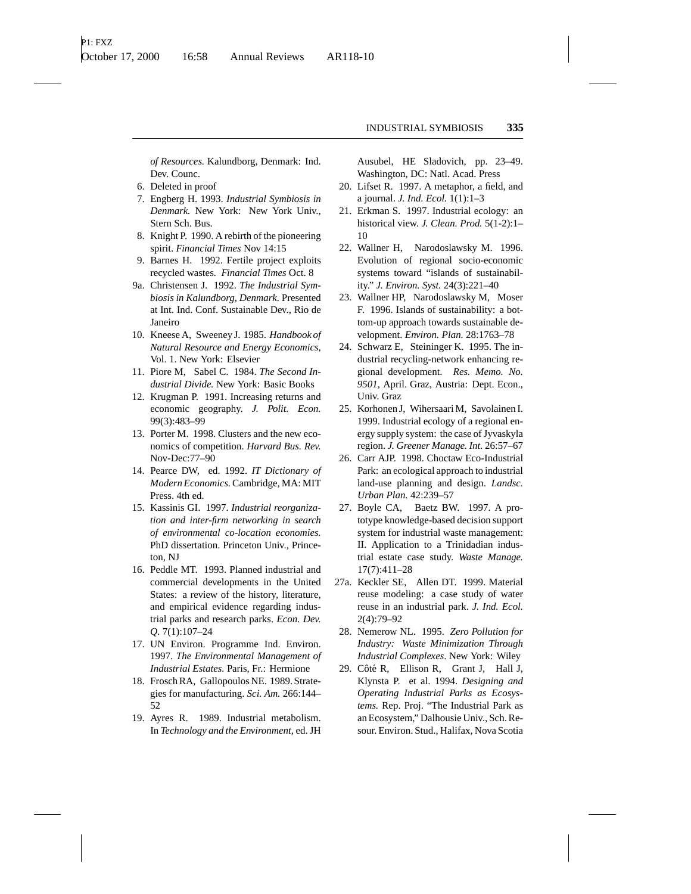*of Resources.* Kalundborg, Denmark: Ind. Dev. Counc.

- 6. Deleted in proof
- 7. Engberg H. 1993. *Industrial Symbiosis in Denmark.* New York: New York Univ., Stern Sch. Bus.
- 8. Knight P. 1990. A rebirth of the pioneering spirit. *Financial Times* Nov 14:15
- 9. Barnes H. 1992. Fertile project exploits recycled wastes. *Financial Times* Oct. 8
- 9a. Christensen J. 1992. *The Industrial Symbiosis in Kalundborg*, *Denmark.* Presented at Int. Ind. Conf. Sustainable Dev., Rio de Janeiro
- 10. Kneese A, Sweeney J. 1985. *Handbook of Natural Resource and Energy Economics*, Vol. 1. New York: Elsevier
- 11. Piore M, Sabel C. 1984. *The Second Industrial Divide.* New York: Basic Books
- 12. Krugman P. 1991. Increasing returns and economic geography. *J. Polit. Econ.* 99(3):483–99
- 13. Porter M. 1998. Clusters and the new economics of competition. *Harvard Bus. Rev.* Nov-Dec:77–90
- 14. Pearce DW, ed. 1992. *IT Dictionary of Modern Economics.*Cambridge, MA: MIT Press. 4th ed.
- 15. Kassinis GI. 1997. *Industrial reorganization and inter-firm networking in search of environmental co-location economies.* PhD dissertation. Princeton Univ., Princeton, NJ
- 16. Peddle MT. 1993. Planned industrial and commercial developments in the United States: a review of the history, literature, and empirical evidence regarding industrial parks and research parks. *Econ. Dev. Q.* 7(1):107–24
- 17. UN Environ. Programme Ind. Environ. 1997. *The Environmental Management of Industrial Estates.* Paris, Fr.: Hermione
- 18. Frosch RA, Gallopoulos NE. 1989. Strategies for manufacturing. *Sci. Am.* 266:144– 52
- 19. Ayres R. 1989. Industrial metabolism. In *Technology and the Environment*, ed. JH

Ausubel, HE Sladovich, pp. 23–49. Washington, DC: Natl. Acad. Press

- 20. Lifset R. 1997. A metaphor, a field, and a journal. *J. Ind. Ecol.* 1(1):1–3
- 21. Erkman S. 1997. Industrial ecology: an historical view. *J. Clean. Prod.* 5(1-2):1– 10
- 22. Wallner H, Narodoslawsky M. 1996. Evolution of regional socio-economic systems toward "islands of sustainability." *J. Environ. Syst.* 24(3):221–40
- 23. Wallner HP, Narodoslawsky M, Moser F. 1996. Islands of sustainability: a bottom-up approach towards sustainable development. *Environ. Plan.* 28:1763–78
- 24. Schwarz E, Steininger K. 1995. The industrial recycling-network enhancing regional development. *Res. Memo. No. 9501*, April. Graz, Austria: Dept. Econ., Univ. Graz
- 25. Korhonen J, Wihersaari M, Savolainen I. 1999. Industrial ecology of a regional energy supply system: the case of Jyvaskyla region. *J. Greener Manage. Int.* 26:57–67
- 26. Carr AJP. 1998. Choctaw Eco-Industrial Park: an ecological approach to industrial land-use planning and design. *Landsc. Urban Plan.* 42:239–57
- 27. Boyle CA, Baetz BW. 1997. A prototype knowledge-based decision support system for industrial waste management: II. Application to a Trinidadian industrial estate case study. *Waste Manage.* 17(7):411–28
- 27a. Keckler SE, Allen DT. 1999. Material reuse modeling: a case study of water reuse in an industrial park. *J. Ind. Ecol.* 2(4):79–92
	- 28. Nemerow NL. 1995. *Zero Pollution for Industry: Waste Minimization Through Industrial Complexes*. New York: Wiley
	- 29. Côté R, Ellison R, Grant J, Hall J, Klynsta P. et al. 1994. *Designing and Operating Industrial Parks as Ecosystems.* Rep. Proj. "The Industrial Park as an Ecosystem," Dalhousie Univ., Sch. Resour. Environ. Stud., Halifax, Nova Scotia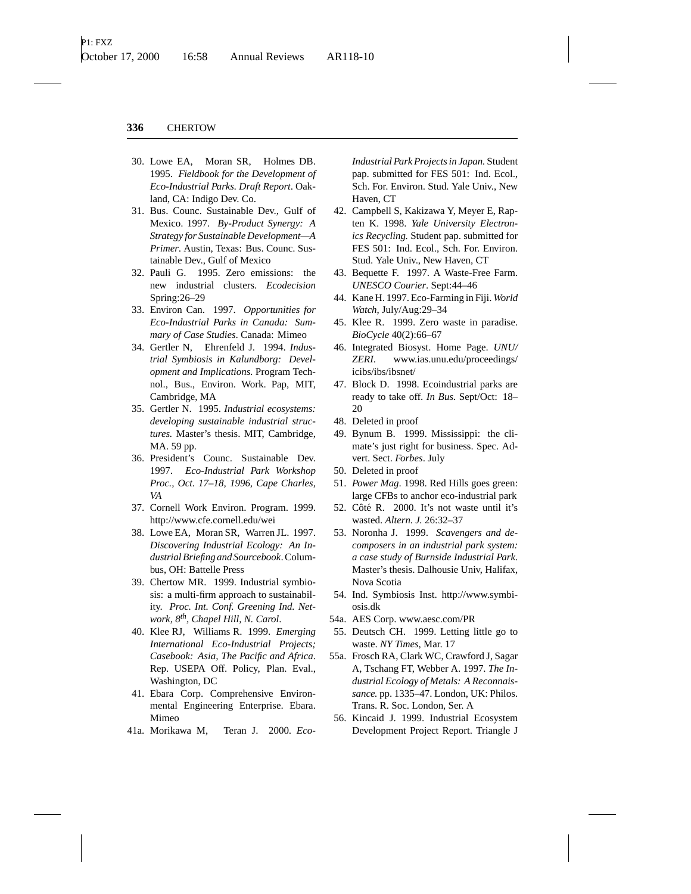- 30. Lowe EA, Moran SR, Holmes DB. 1995. *Fieldbook for the Development of Eco-Industrial Parks. Draft Report*. Oakland, CA: Indigo Dev. Co.
- 31. Bus. Counc. Sustainable Dev., Gulf of Mexico. 1997. *By-Product Synergy: A Strategy for Sustainable Development—A Primer*. Austin, Texas: Bus. Counc. Sustainable Dev., Gulf of Mexico
- 32. Pauli G. 1995. Zero emissions: the new industrial clusters. *Ecodecision* Spring:26–29
- 33. Environ Can. 1997. *Opportunities for Eco-Industrial Parks in Canada: Summary of Case Studies*. Canada: Mimeo
- 34. Gertler N, Ehrenfeld J. 1994. *Industrial Symbiosis in Kalundborg: Development and Implications.* Program Technol., Bus., Environ. Work. Pap, MIT, Cambridge, MA
- 35. Gertler N. 1995. *Industrial ecosystems: developing sustainable industrial structures.* Master's thesis. MIT, Cambridge, MA. 59 pp.
- 36. President's Counc. Sustainable Dev. 1997. *Eco-Industrial Park Workshop Proc., Oct. 17–18, 1996, Cape Charles, VA*
- 37. Cornell Work Environ. Program. 1999. http://www.cfe.cornell.edu/wei
- 38. Lowe EA, Moran SR, Warren JL. 1997. *Discovering Industrial Ecology: An Industrial Briefing and Sourcebook*. Columbus, OH: Battelle Press
- 39. Chertow MR. 1999. Industrial symbiosis: a multi-firm approach to sustainability. *Proc. Int. Conf. Greening Ind. Network, 8th, Chapel Hill, N. Carol*.
- 40. Klee RJ, Williams R. 1999. *Emerging International Eco-Industrial Projects; Casebook: Asia, The Pacific and Africa*. Rep. USEPA Off. Policy, Plan. Eval., Washington, DC
- 41. Ebara Corp. Comprehensive Environmental Engineering Enterprise. Ebara. Mimeo
- 41a. Morikawa M, Teran J. 2000. *Eco-*

*Industrial Park Projects in Japan.* Student pap. submitted for FES 501: Ind. Ecol., Sch. For. Environ. Stud. Yale Univ., New Haven, CT

- 42. Campbell S, Kakizawa Y, Meyer E, Rapten K. 1998. *Yale University Electronics Recycling.* Student pap. submitted for FES 501: Ind. Ecol., Sch. For. Environ. Stud. Yale Univ., New Haven, CT
- 43. Bequette F. 1997. A Waste-Free Farm. *UNESCO Courier*. Sept:44–46
- 44. Kane H. 1997. Eco-Farming in Fiji. *World Watch*, July/Aug:29–34
- 45. Klee R. 1999. Zero waste in paradise. *BioCycle* 40(2):66–67
- 46. Integrated Biosyst. Home Page. *UNU/ ZERI*. www.ias.unu.edu/proceedings/ icibs/ibs/ibsnet/
- 47. Block D. 1998. Ecoindustrial parks are ready to take off. *In Bus*. Sept/Oct: 18– 20
- 48. Deleted in proof
- 49. Bynum B. 1999. Mississippi: the climate's just right for business. Spec. Advert. Sect. *Forbes*. July
- 50. Deleted in proof
- 51. *Power Mag*. 1998. Red Hills goes green: large CFBs to anchor eco-industrial park
- 52. Côté R. 2000. It's not waste until it's wasted. *Altern. J.* 26:32–37
- 53. Noronha J. 1999. *Scavengers and decomposers in an industrial park system: a case study of Burnside Industrial Park*. Master's thesis. Dalhousie Univ, Halifax, Nova Scotia
- 54. Ind. Symbiosis Inst. http://www.symbiosis.dk
- 54a. AES Corp. www.aesc.com/PR
- 55. Deutsch CH. 1999. Letting little go to waste. *NY Times*, Mar. 17
- 55a. Frosch RA, Clark WC, Crawford J, Sagar A, Tschang FT, Webber A. 1997. *The Industrial Ecology of Metals: A Reconnaissance.* pp. 1335–47. London, UK: Philos. Trans. R. Soc. London, Ser. A
- 56. Kincaid J. 1999. Industrial Ecosystem Development Project Report. Triangle J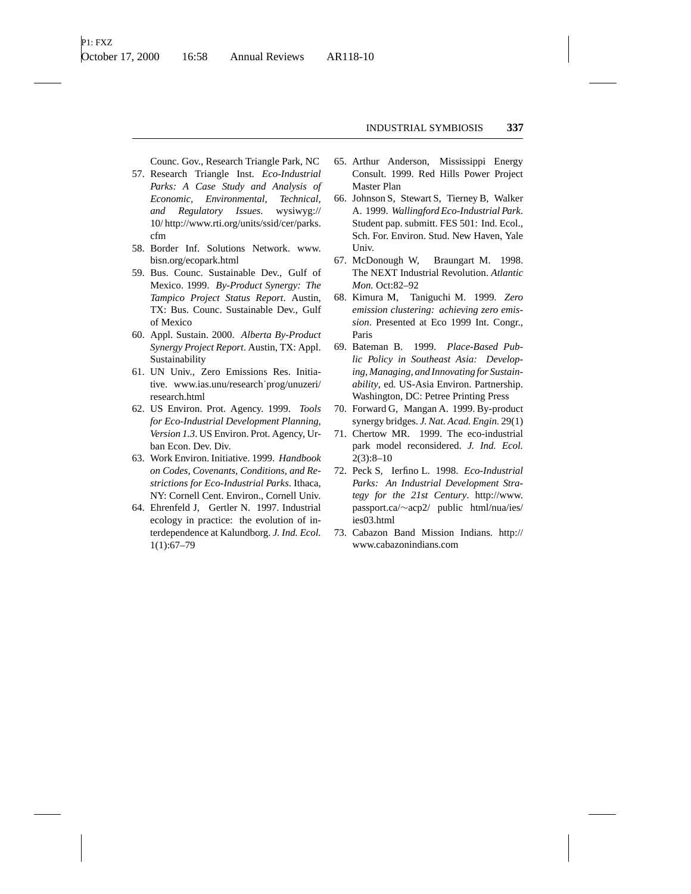Counc. Gov., Research Triangle Park, NC

- 57. Research Triangle Inst. *Eco-Industrial Parks: A Case Study and Analysis of Economic, Environmental, Technical, and Regulatory Issues*. wysiwyg:// 10/ http://www.rti.org/units/ssid/cer/parks. cfm
- 58. Border Inf. Solutions Network. www. bisn.org/ecopark.html
- 59. Bus. Counc. Sustainable Dev., Gulf of Mexico. 1999. *By-Product Synergy: The Tampico Project Status Report*. Austin, TX: Bus. Counc. Sustainable Dev., Gulf of Mexico
- 60. Appl. Sustain. 2000. *Alberta By-Product Synergy Project Report*. Austin, TX: Appl. Sustainability
- 61. UN Univ., Zero Emissions Res. Initiative. www.ias.unu/research˙prog/unuzeri/ research.html
- 62. US Environ. Prot. Agency. 1999. *Tools for Eco-Industrial Development Planning, Version 1.3*. US Environ. Prot. Agency, Urban Econ. Dev. Div.
- 63. Work Environ. Initiative. 1999. *Handbook on Codes, Covenants, Conditions, and Restrictions for Eco-Industrial Parks*. Ithaca, NY: Cornell Cent. Environ., Cornell Univ.
- 64. Ehrenfeld J, Gertler N. 1997. Industrial ecology in practice: the evolution of interdependence at Kalundborg. *J. Ind. Ecol.* 1(1):67–79
- 65. Arthur Anderson, Mississippi Energy Consult. 1999. Red Hills Power Project Master Plan
- 66. Johnson S, Stewart S, Tierney B, Walker A. 1999. *Wallingford Eco-Industrial Park*. Student pap. submitt. FES 501: Ind. Ecol., Sch. For. Environ. Stud. New Haven, Yale Univ.
- 67. McDonough W, Braungart M. 1998. The NEXT Industrial Revolution. *Atlantic Mon.* Oct:82–92
- 68. Kimura M, Taniguchi M. 1999. *Zero emission clustering: achieving zero emission*. Presented at Eco 1999 Int. Congr., Paris
- 69. Bateman B. 1999. *Place-Based Public Policy in Southeast Asia: Developing, Managing, and Innovating for Sustainability*, ed. US-Asia Environ. Partnership. Washington, DC: Petree Printing Press
- 70. Forward G, Mangan A. 1999. By-product synergy bridges. *J. Nat. Acad. Engin.* 29(1)
- 71. Chertow MR. 1999. The eco-industrial park model reconsidered. *J. Ind. Ecol.* 2(3):8–10
- 72. Peck S, Ierfino L. 1998. *Eco-Industrial Parks: An Industrial Development Strategy for the 21st Century*. http://www. passport.ca/∼acp2/ public html/nua/ies/ ies03.html
- 73. Cabazon Band Mission Indians. http:// www.cabazonindians.com